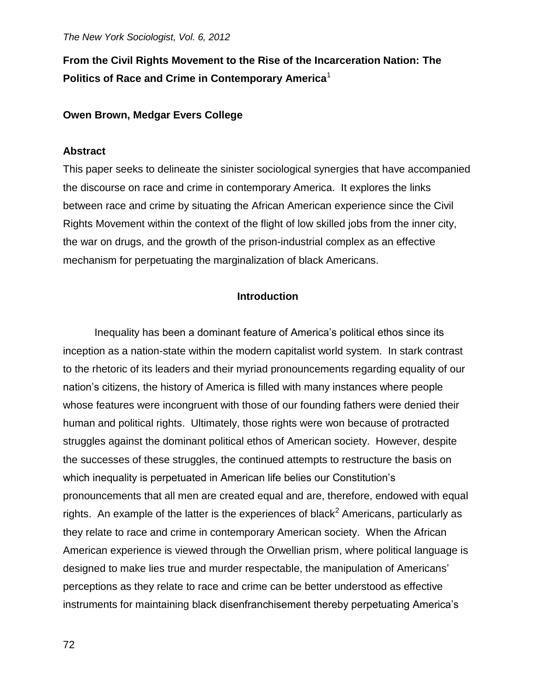# **From the Civil Rights Movement to the Rise of the Incarceration Nation: The Politics of Race and Crime in Contemporary America**<sup>1</sup>

# **Owen Brown, Medgar Evers College**

## **Abstract**

This paper seeks to delineate the sinister sociological synergies that have accompanied the discourse on race and crime in contemporary America. It explores the links between race and crime by situating the African American experience since the Civil Rights Movement within the context of the flight of low skilled jobs from the inner city, the war on drugs, and the growth of the prison-industrial complex as an effective mechanism for perpetuating the marginalization of black Americans.

# **Introduction**

Inequality has been a dominant feature of America's political ethos since its inception as a nation-state within the modern capitalist world system. In stark contrast to the rhetoric of its leaders and their myriad pronouncements regarding equality of our nation's citizens, the history of America is filled with many instances where people whose features were incongruent with those of our founding fathers were denied their human and political rights. Ultimately, those rights were won because of protracted struggles against the dominant political ethos of American society. However, despite the successes of these struggles, the continued attempts to restructure the basis on which inequality is perpetuated in American life belies our Constitution's pronouncements that all men are created equal and are, therefore, endowed with equal rights. An example of the latter is the experiences of black<sup>2</sup> Americans, particularly as they relate to race and crime in contemporary American society. When the African American experience is viewed through the Orwellian prism, where political language is designed to make lies true and murder respectable, the manipulation of Americans' perceptions as they relate to race and crime can be better understood as effective instruments for maintaining black disenfranchisement thereby perpetuating America's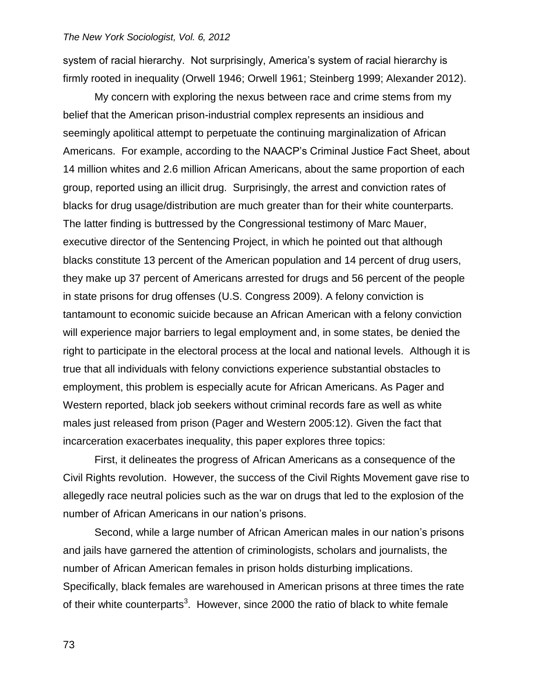system of racial hierarchy. Not surprisingly, America's system of racial hierarchy is firmly rooted in inequality (Orwell 1946; Orwell 1961; Steinberg 1999; Alexander 2012).

My concern with exploring the nexus between race and crime stems from my belief that the American prison-industrial complex represents an insidious and seemingly apolitical attempt to perpetuate the continuing marginalization of African Americans. For example, according to the NAACP's Criminal Justice Fact Sheet, about 14 million whites and 2.6 million African Americans, about the same proportion of each group, reported using an illicit drug. Surprisingly, the arrest and conviction rates of blacks for drug usage/distribution are much greater than for their white counterparts. The latter finding is buttressed by the Congressional testimony of Marc Mauer, executive director of the Sentencing Project, in which he pointed out that although blacks constitute 13 percent of the American population and 14 percent of drug users, they make up 37 percent of Americans arrested for drugs and 56 percent of the people in state prisons for drug offenses (U.S. Congress 2009). A felony conviction is tantamount to economic suicide because an African American with a felony conviction will experience major barriers to legal employment and, in some states, be denied the right to participate in the electoral process at the local and national levels. Although it is true that all individuals with felony convictions experience substantial obstacles to employment, this problem is especially acute for African Americans. As Pager and Western reported, black job seekers without criminal records fare as well as white males just released from prison (Pager and Western 2005:12). Given the fact that incarceration exacerbates inequality, this paper explores three topics:

First, it delineates the progress of African Americans as a consequence of the Civil Rights revolution. However, the success of the Civil Rights Movement gave rise to allegedly race neutral policies such as the war on drugs that led to the explosion of the number of African Americans in our nation's prisons.

Second, while a large number of African American males in our nation's prisons and jails have garnered the attention of criminologists, scholars and journalists, the number of African American females in prison holds disturbing implications. Specifically, black females are warehoused in American prisons at three times the rate of their white counterparts<sup>3</sup>. However, since 2000 the ratio of black to white female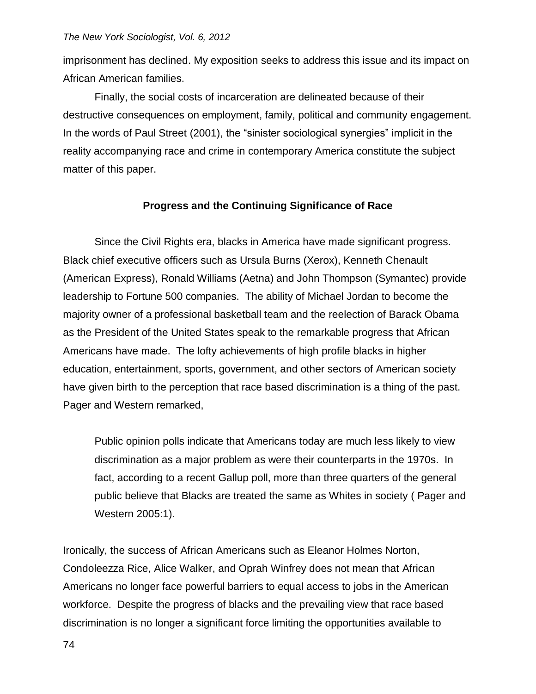imprisonment has declined. My exposition seeks to address this issue and its impact on African American families.

Finally, the social costs of incarceration are delineated because of their destructive consequences on employment, family, political and community engagement. In the words of Paul Street (2001), the "sinister sociological synergies" implicit in the reality accompanying race and crime in contemporary America constitute the subject matter of this paper.

# **Progress and the Continuing Significance of Race**

Since the Civil Rights era, blacks in America have made significant progress. Black chief executive officers such as Ursula Burns (Xerox), Kenneth Chenault (American Express), Ronald Williams (Aetna) and John Thompson (Symantec) provide leadership to Fortune 500 companies. The ability of Michael Jordan to become the majority owner of a professional basketball team and the reelection of Barack Obama as the President of the United States speak to the remarkable progress that African Americans have made. The lofty achievements of high profile blacks in higher education, entertainment, sports, government, and other sectors of American society have given birth to the perception that race based discrimination is a thing of the past. Pager and Western remarked,

Public opinion polls indicate that Americans today are much less likely to view discrimination as a major problem as were their counterparts in the 1970s. In fact, according to a recent Gallup poll, more than three quarters of the general public believe that Blacks are treated the same as Whites in society ( Pager and Western 2005:1).

Ironically, the success of African Americans such as Eleanor Holmes Norton, Condoleezza Rice, Alice Walker, and Oprah Winfrey does not mean that African Americans no longer face powerful barriers to equal access to jobs in the American workforce. Despite the progress of blacks and the prevailing view that race based discrimination is no longer a significant force limiting the opportunities available to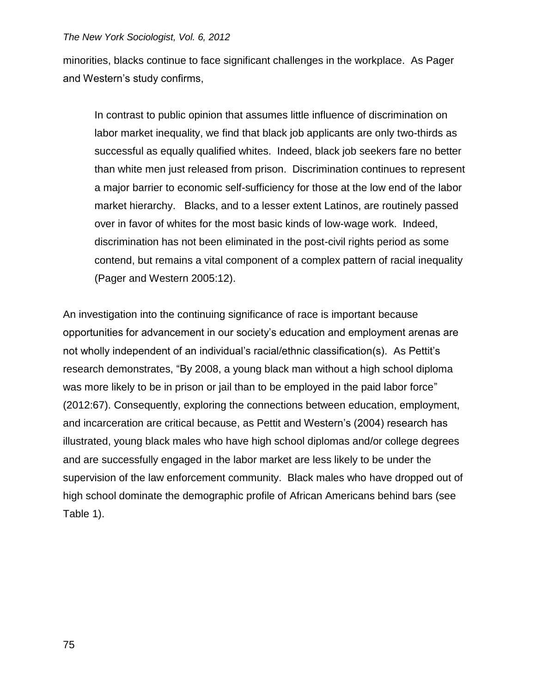minorities, blacks continue to face significant challenges in the workplace. As Pager and Western's study confirms,

In contrast to public opinion that assumes little influence of discrimination on labor market inequality, we find that black job applicants are only two-thirds as successful as equally qualified whites. Indeed, black job seekers fare no better than white men just released from prison. Discrimination continues to represent a major barrier to economic self-sufficiency for those at the low end of the labor market hierarchy. Blacks, and to a lesser extent Latinos, are routinely passed over in favor of whites for the most basic kinds of low-wage work. Indeed, discrimination has not been eliminated in the post-civil rights period as some contend, but remains a vital component of a complex pattern of racial inequality (Pager and Western 2005:12).

An investigation into the continuing significance of race is important because opportunities for advancement in our society's education and employment arenas are not wholly independent of an individual's racial/ethnic classification(s). As Pettit's research demonstrates, "By 2008, a young black man without a high school diploma was more likely to be in prison or jail than to be employed in the paid labor force" (2012:67). Consequently, exploring the connections between education, employment, and incarceration are critical because, as Pettit and Western's (2004) research has illustrated, young black males who have high school diplomas and/or college degrees and are successfully engaged in the labor market are less likely to be under the supervision of the law enforcement community. Black males who have dropped out of high school dominate the demographic profile of African Americans behind bars (see Table 1).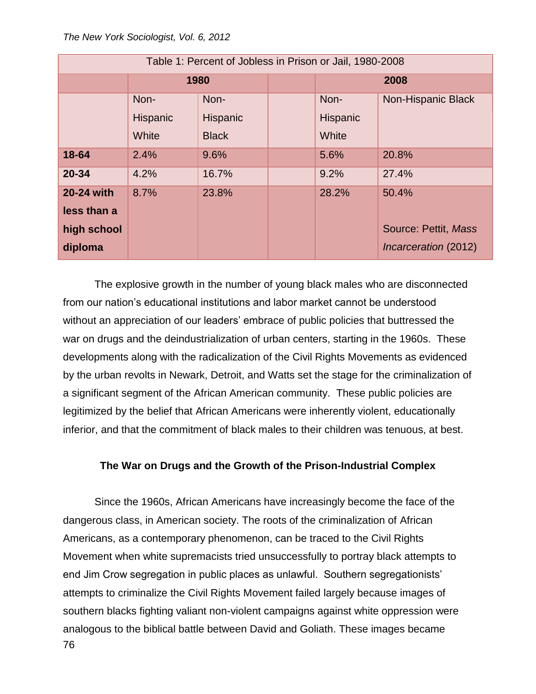| Table 1: Percent of Jobless in Prison or Jail, 1980-2008 |          |                 |  |          |                      |  |
|----------------------------------------------------------|----------|-----------------|--|----------|----------------------|--|
|                                                          | 1980     |                 |  | 2008     |                      |  |
|                                                          | Non-     | Non-            |  | Non-     | Non-Hispanic Black   |  |
|                                                          | Hispanic | <b>Hispanic</b> |  | Hispanic |                      |  |
|                                                          | White    | <b>Black</b>    |  | White    |                      |  |
| 18-64                                                    | 2.4%     | 9.6%            |  | 5.6%     | 20.8%                |  |
| $20 - 34$                                                | 4.2%     | 16.7%           |  | 9.2%     | 27.4%                |  |
| 20-24 with                                               | 8.7%     | 23.8%           |  | 28.2%    | 50.4%                |  |
| less than a                                              |          |                 |  |          |                      |  |
| high school                                              |          |                 |  |          | Source: Pettit, Mass |  |
| diploma                                                  |          |                 |  |          | Incarceration (2012) |  |

The explosive growth in the number of young black males who are disconnected from our nation's educational institutions and labor market cannot be understood without an appreciation of our leaders' embrace of public policies that buttressed the war on drugs and the deindustrialization of urban centers, starting in the 1960s. These developments along with the radicalization of the Civil Rights Movements as evidenced by the urban revolts in Newark, Detroit, and Watts set the stage for the criminalization of a significant segment of the African American community. These public policies are legitimized by the belief that African Americans were inherently violent, educationally inferior, and that the commitment of black males to their children was tenuous, at best.

# **The War on Drugs and the Growth of the Prison-Industrial Complex**

76 Since the 1960s, African Americans have increasingly become the face of the dangerous class, in American society. The roots of the criminalization of African Americans, as a contemporary phenomenon, can be traced to the Civil Rights Movement when white supremacists tried unsuccessfully to portray black attempts to end Jim Crow segregation in public places as unlawful. Southern segregationists' attempts to criminalize the Civil Rights Movement failed largely because images of southern blacks fighting valiant non-violent campaigns against white oppression were analogous to the biblical battle between David and Goliath. These images became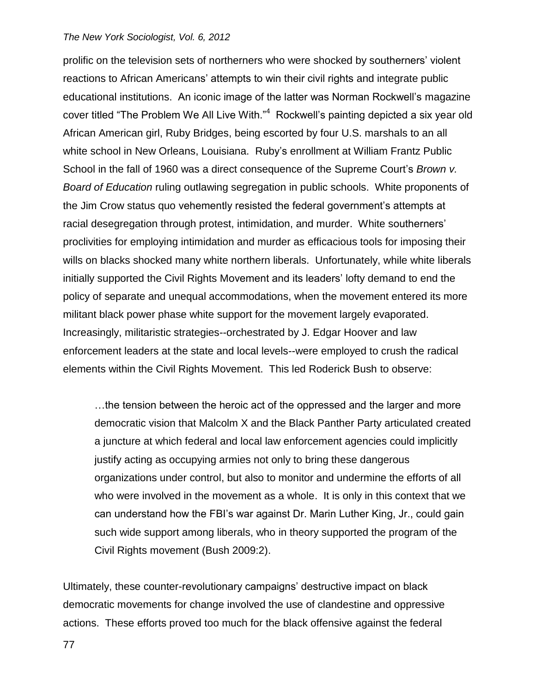prolific on the television sets of northerners who were shocked by southerners' violent reactions to African Americans' attempts to win their civil rights and integrate public educational institutions. An iconic image of the latter was Norman Rockwell's magazine cover titled "The Problem We All Live With."<sup>4</sup> Rockwell's painting depicted a six year old African American girl, Ruby Bridges, being escorted by four U.S. marshals to an all white school in New Orleans, Louisiana. Ruby's enrollment at William Frantz Public School in the fall of 1960 was a direct consequence of the Supreme Court's *Brown v. Board of Education* ruling outlawing segregation in public schools. White proponents of the Jim Crow status quo vehemently resisted the federal government's attempts at racial desegregation through protest, intimidation, and murder. White southerners' proclivities for employing intimidation and murder as efficacious tools for imposing their wills on blacks shocked many white northern liberals. Unfortunately, while white liberals initially supported the Civil Rights Movement and its leaders' lofty demand to end the policy of separate and unequal accommodations, when the movement entered its more militant black power phase white support for the movement largely evaporated. Increasingly, militaristic strategies--orchestrated by J. Edgar Hoover and law enforcement leaders at the state and local levels--were employed to crush the radical elements within the Civil Rights Movement. This led Roderick Bush to observe:

…the tension between the heroic act of the oppressed and the larger and more democratic vision that Malcolm X and the Black Panther Party articulated created a juncture at which federal and local law enforcement agencies could implicitly justify acting as occupying armies not only to bring these dangerous organizations under control, but also to monitor and undermine the efforts of all who were involved in the movement as a whole. It is only in this context that we can understand how the FBI's war against Dr. Marin Luther King, Jr., could gain such wide support among liberals, who in theory supported the program of the Civil Rights movement (Bush 2009:2).

Ultimately, these counter-revolutionary campaigns' destructive impact on black democratic movements for change involved the use of clandestine and oppressive actions. These efforts proved too much for the black offensive against the federal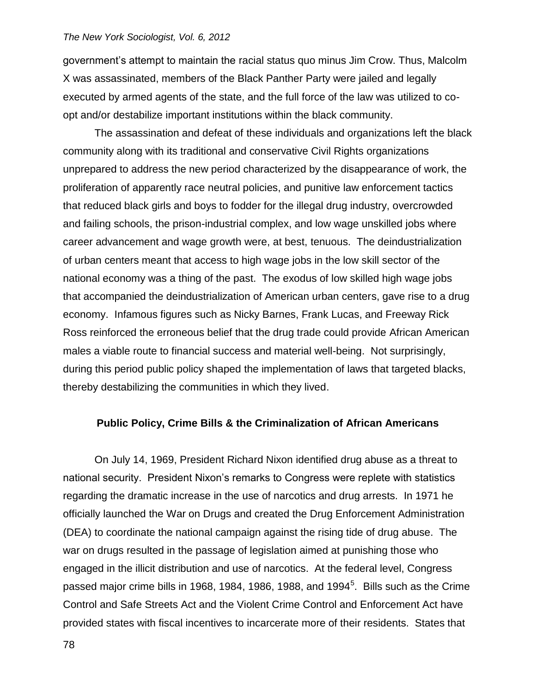government's attempt to maintain the racial status quo minus Jim Crow. Thus, Malcolm X was assassinated, members of the Black Panther Party were jailed and legally executed by armed agents of the state, and the full force of the law was utilized to coopt and/or destabilize important institutions within the black community.

The assassination and defeat of these individuals and organizations left the black community along with its traditional and conservative Civil Rights organizations unprepared to address the new period characterized by the disappearance of work, the proliferation of apparently race neutral policies, and punitive law enforcement tactics that reduced black girls and boys to fodder for the illegal drug industry, overcrowded and failing schools, the prison-industrial complex, and low wage unskilled jobs where career advancement and wage growth were, at best, tenuous. The deindustrialization of urban centers meant that access to high wage jobs in the low skill sector of the national economy was a thing of the past. The exodus of low skilled high wage jobs that accompanied the deindustrialization of American urban centers, gave rise to a drug economy. Infamous figures such as Nicky Barnes, Frank Lucas, and Freeway Rick Ross reinforced the erroneous belief that the drug trade could provide African American males a viable route to financial success and material well-being. Not surprisingly, during this period public policy shaped the implementation of laws that targeted blacks, thereby destabilizing the communities in which they lived.

### **Public Policy, Crime Bills & the Criminalization of African Americans**

On July 14, 1969, President Richard Nixon identified drug abuse as a threat to national security. President Nixon's remarks to Congress were replete with statistics regarding the dramatic increase in the use of narcotics and drug arrests. In 1971 he officially launched the War on Drugs and created the Drug Enforcement Administration (DEA) to coordinate the national campaign against the rising tide of drug abuse. The war on drugs resulted in the passage of legislation aimed at punishing those who engaged in the illicit distribution and use of narcotics. At the federal level, Congress passed major crime bills in 1968, 1984, 1986, 1988, and 1994 $^5$ . Bills such as the Crime Control and Safe Streets Act and the Violent Crime Control and Enforcement Act have provided states with fiscal incentives to incarcerate more of their residents. States that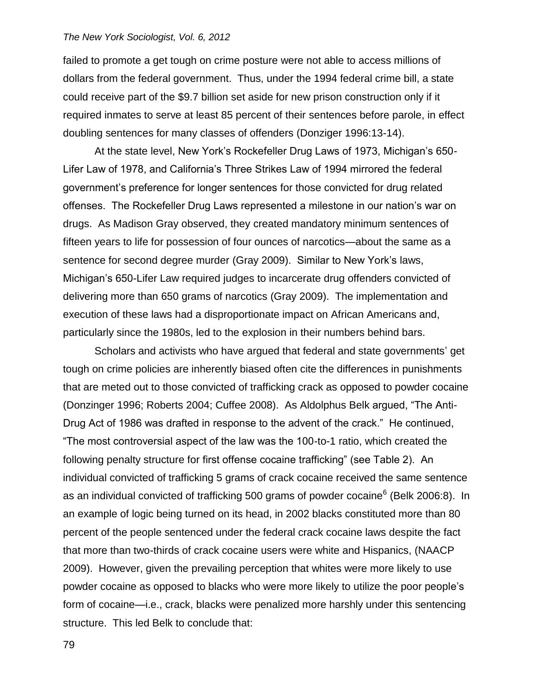failed to promote a get tough on crime posture were not able to access millions of dollars from the federal government. Thus, under the 1994 federal crime bill, a state could receive part of the \$9.7 billion set aside for new prison construction only if it required inmates to serve at least 85 percent of their sentences before parole, in effect doubling sentences for many classes of offenders (Donziger 1996:13-14).

At the state level, New York's Rockefeller Drug Laws of 1973, Michigan's 650- Lifer Law of 1978, and California's Three Strikes Law of 1994 mirrored the federal government's preference for longer sentences for those convicted for drug related offenses. The Rockefeller Drug Laws represented a milestone in our nation's war on drugs. As Madison Gray observed, they created mandatory minimum sentences of fifteen years to life for possession of four ounces of narcotics—about the same as a sentence for second degree murder (Gray 2009). Similar to New York's laws, Michigan's 650-Lifer Law required judges to incarcerate drug offenders convicted of delivering more than 650 grams of narcotics (Gray 2009). The implementation and execution of these laws had a disproportionate impact on African Americans and, particularly since the 1980s, led to the explosion in their numbers behind bars.

Scholars and activists who have argued that federal and state governments' get tough on crime policies are inherently biased often cite the differences in punishments that are meted out to those convicted of trafficking crack as opposed to powder cocaine (Donzinger 1996; Roberts 2004; Cuffee 2008). As Aldolphus Belk argued, "The Anti-Drug Act of 1986 was drafted in response to the advent of the crack." He continued, "The most controversial aspect of the law was the 100-to-1 ratio, which created the following penalty structure for first offense cocaine trafficking" (see Table 2). An individual convicted of trafficking 5 grams of crack cocaine received the same sentence as an individual convicted of trafficking 500 grams of powder cocaine<sup>6</sup> (Belk 2006:8). In an example of logic being turned on its head, in 2002 blacks constituted more than 80 percent of the people sentenced under the federal crack cocaine laws despite the fact that more than two-thirds of crack cocaine users were white and Hispanics, (NAACP 2009). However, given the prevailing perception that whites were more likely to use powder cocaine as opposed to blacks who were more likely to utilize the poor people's form of cocaine—i.e., crack, blacks were penalized more harshly under this sentencing structure. This led Belk to conclude that:

79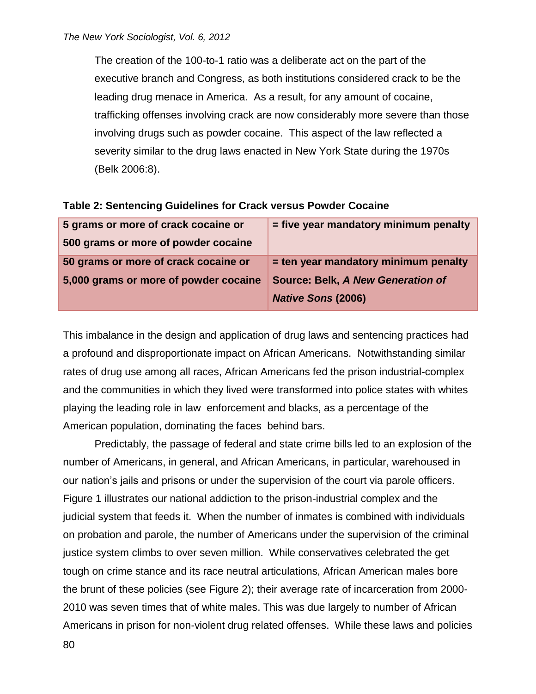The creation of the 100-to-1 ratio was a deliberate act on the part of the executive branch and Congress, as both institutions considered crack to be the leading drug menace in America. As a result, for any amount of cocaine, trafficking offenses involving crack are now considerably more severe than those involving drugs such as powder cocaine. This aspect of the law reflected a severity similar to the drug laws enacted in New York State during the 1970s (Belk 2006:8).

| 5 grams or more of crack cocaine or   | = five year mandatory minimum penalty    |
|---------------------------------------|------------------------------------------|
| 500 grams or more of powder cocaine   |                                          |
| 50 grams or more of crack cocaine or  | = ten year mandatory minimum penalty     |
| 5,000 grams or more of powder cocaine | <b>Source: Belk, A New Generation of</b> |
|                                       | <b>Native Sons (2006)</b>                |

**Table 2: Sentencing Guidelines for Crack versus Powder Cocaine**

This imbalance in the design and application of drug laws and sentencing practices had a profound and disproportionate impact on African Americans. Notwithstanding similar rates of drug use among all races, African Americans fed the prison industrial-complex and the communities in which they lived were transformed into police states with whites playing the leading role in law enforcement and blacks, as a percentage of the American population, dominating the faces behind bars.

Predictably, the passage of federal and state crime bills led to an explosion of the number of Americans, in general, and African Americans, in particular, warehoused in our nation's jails and prisons or under the supervision of the court via parole officers. Figure 1 illustrates our national addiction to the prison-industrial complex and the judicial system that feeds it. When the number of inmates is combined with individuals on probation and parole, the number of Americans under the supervision of the criminal justice system climbs to over seven million. While conservatives celebrated the get tough on crime stance and its race neutral articulations, African American males bore the brunt of these policies (see Figure 2); their average rate of incarceration from 2000- 2010 was seven times that of white males. This was due largely to number of African Americans in prison for non-violent drug related offenses. While these laws and policies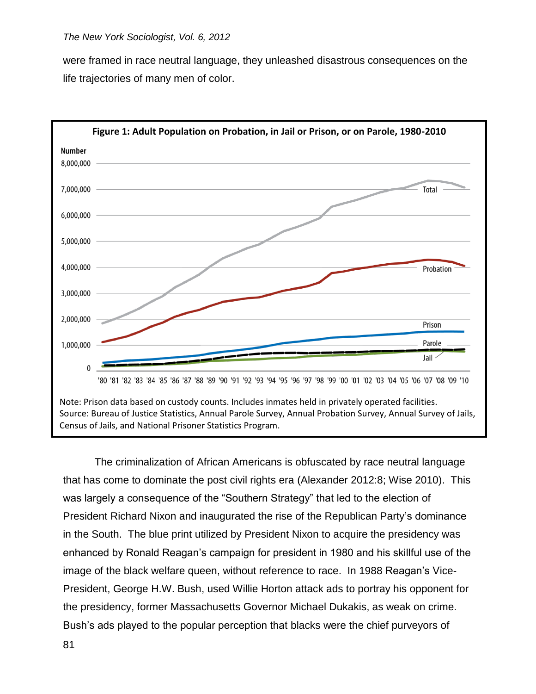were framed in race neutral language, they unleashed disastrous consequences on the life trajectories of many men of color.



The criminalization of African Americans is obfuscated by race neutral language that has come to dominate the post civil rights era (Alexander 2012:8; Wise 2010). This was largely a consequence of the "Southern Strategy" that led to the election of President Richard Nixon and inaugurated the rise of the Republican Party's dominance in the South. The blue print utilized by President Nixon to acquire the presidency was enhanced by Ronald Reagan's campaign for president in 1980 and his skillful use of the image of the black welfare queen, without reference to race. In 1988 Reagan's Vice-President, George H.W. Bush, used Willie Horton attack ads to portray his opponent for the presidency, former Massachusetts Governor Michael Dukakis, as weak on crime. Bush's ads played to the popular perception that blacks were the chief purveyors of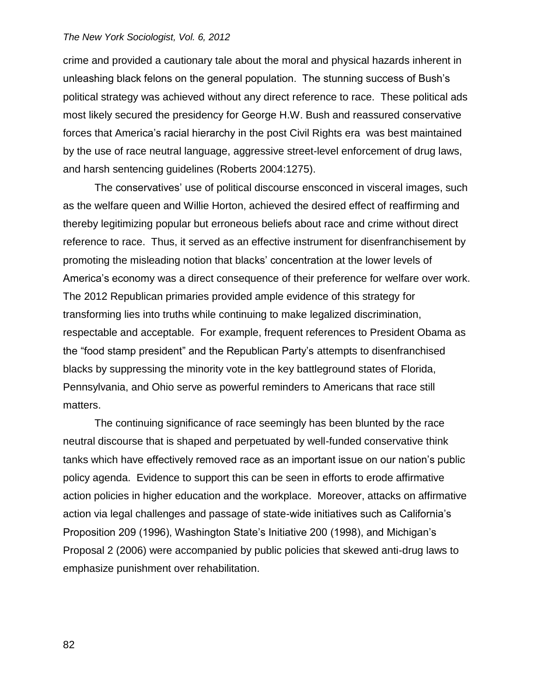crime and provided a cautionary tale about the moral and physical hazards inherent in unleashing black felons on the general population. The stunning success of Bush's political strategy was achieved without any direct reference to race. These political ads most likely secured the presidency for George H.W. Bush and reassured conservative forces that America's racial hierarchy in the post Civil Rights era was best maintained by the use of race neutral language, aggressive street-level enforcement of drug laws, and harsh sentencing guidelines (Roberts 2004:1275).

The conservatives' use of political discourse ensconced in visceral images, such as the welfare queen and Willie Horton, achieved the desired effect of reaffirming and thereby legitimizing popular but erroneous beliefs about race and crime without direct reference to race. Thus, it served as an effective instrument for disenfranchisement by promoting the misleading notion that blacks' concentration at the lower levels of America's economy was a direct consequence of their preference for welfare over work. The 2012 Republican primaries provided ample evidence of this strategy for transforming lies into truths while continuing to make legalized discrimination, respectable and acceptable. For example, frequent references to President Obama as the "food stamp president" and the Republican Party's attempts to disenfranchised blacks by suppressing the minority vote in the key battleground states of Florida, Pennsylvania, and Ohio serve as powerful reminders to Americans that race still matters.

The continuing significance of race seemingly has been blunted by the race neutral discourse that is shaped and perpetuated by well-funded conservative think tanks which have effectively removed race as an important issue on our nation's public policy agenda. Evidence to support this can be seen in efforts to erode affirmative action policies in higher education and the workplace. Moreover, attacks on affirmative action via legal challenges and passage of state-wide initiatives such as California's Proposition 209 (1996), Washington State's Initiative 200 (1998), and Michigan's Proposal 2 (2006) were accompanied by public policies that skewed anti-drug laws to emphasize punishment over rehabilitation.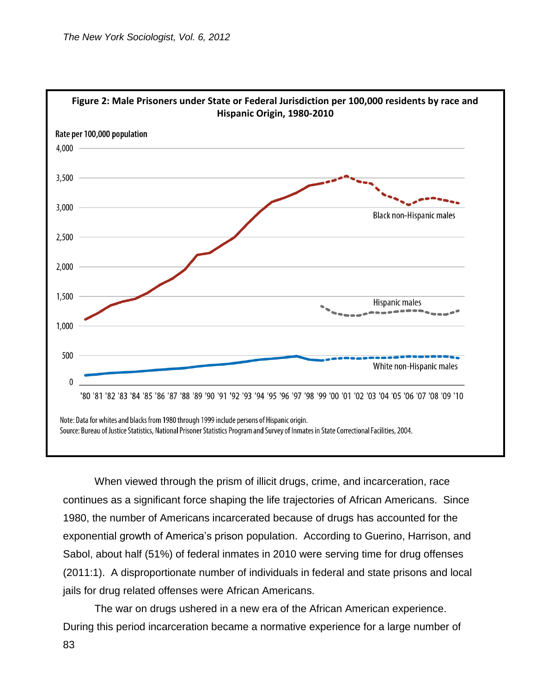

When viewed through the prism of illicit drugs, crime, and incarceration, race continues as a significant force shaping the life trajectories of African Americans. Since 1980, the number of Americans incarcerated because of drugs has accounted for the exponential growth of America's prison population. According to Guerino, Harrison, and Sabol, about half (51%) of federal inmates in 2010 were serving time for drug offenses (2011:1). A disproportionate number of individuals in federal and state prisons and local jails for drug related offenses were African Americans.

The war on drugs ushered in a new era of the African American experience. During this period incarceration became a normative experience for a large number of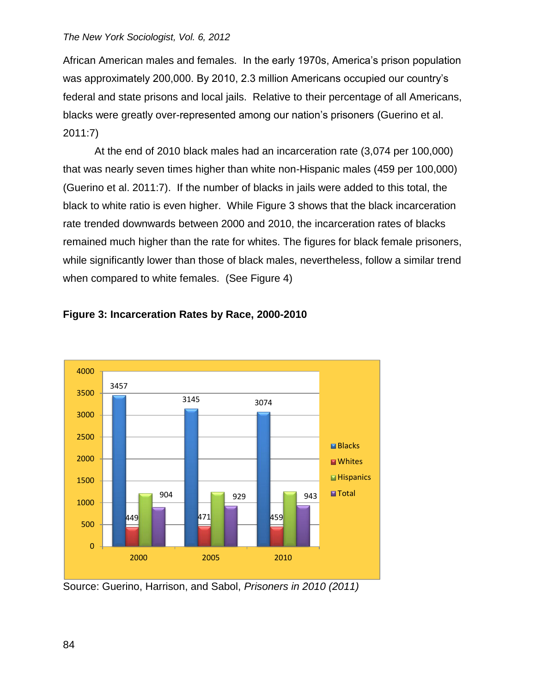African American males and females. In the early 1970s, America's prison population was approximately 200,000. By 2010, 2.3 million Americans occupied our country's federal and state prisons and local jails. Relative to their percentage of all Americans, blacks were greatly over-represented among our nation's prisoners (Guerino et al. 2011:7)

At the end of 2010 black males had an incarceration rate (3,074 per 100,000) that was nearly seven times higher than white non-Hispanic males (459 per 100,000) (Guerino et al. 2011:7). If the number of blacks in jails were added to this total, the black to white ratio is even higher. While Figure 3 shows that the black incarceration rate trended downwards between 2000 and 2010, the incarceration rates of blacks remained much higher than the rate for whites. The figures for black female prisoners, while significantly lower than those of black males, nevertheless, follow a similar trend when compared to white females. (See Figure 4)



# **Figure 3: Incarceration Rates by Race, 2000-2010**

Source: Guerino, Harrison, and Sabol, *Prisoners in 2010 (2011)*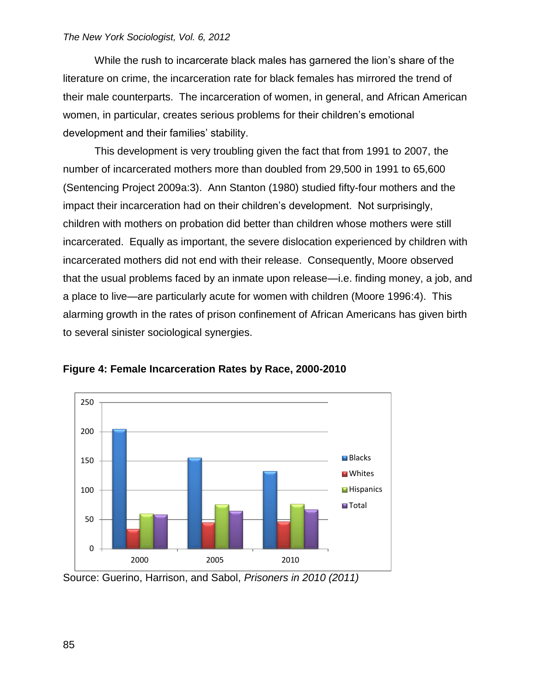While the rush to incarcerate black males has garnered the lion's share of the literature on crime, the incarceration rate for black females has mirrored the trend of their male counterparts. The incarceration of women, in general, and African American women, in particular, creates serious problems for their children's emotional development and their families' stability.

This development is very troubling given the fact that from 1991 to 2007, the number of incarcerated mothers more than doubled from 29,500 in 1991 to 65,600 (Sentencing Project 2009a:3). Ann Stanton (1980) studied fifty-four mothers and the impact their incarceration had on their children's development. Not surprisingly, children with mothers on probation did better than children whose mothers were still incarcerated. Equally as important, the severe dislocation experienced by children with incarcerated mothers did not end with their release. Consequently, Moore observed that the usual problems faced by an inmate upon release—i.e. finding money, a job, and a place to live—are particularly acute for women with children (Moore 1996:4). This alarming growth in the rates of prison confinement of African Americans has given birth to several sinister sociological synergies.



**Figure 4: Female Incarceration Rates by Race, 2000-2010**

Source: Guerino, Harrison, and Sabol, *Prisoners in 2010 (2011)*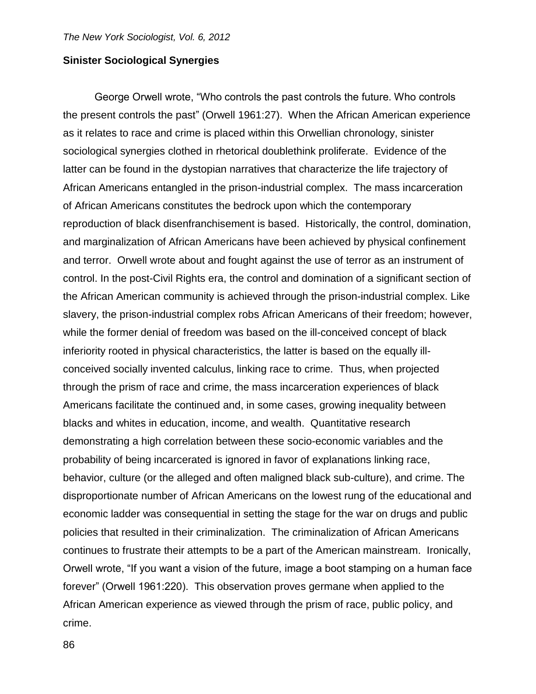# **Sinister Sociological Synergies**

George Orwell wrote, "Who controls the past controls the future. Who controls the present controls the past" (Orwell 1961:27). When the African American experience as it relates to race and crime is placed within this Orwellian chronology, sinister sociological synergies clothed in rhetorical doublethink proliferate. Evidence of the latter can be found in the dystopian narratives that characterize the life trajectory of African Americans entangled in the prison-industrial complex. The mass incarceration of African Americans constitutes the bedrock upon which the contemporary reproduction of black disenfranchisement is based. Historically, the control, domination, and marginalization of African Americans have been achieved by physical confinement and terror. Orwell wrote about and fought against the use of terror as an instrument of control. In the post-Civil Rights era, the control and domination of a significant section of the African American community is achieved through the prison-industrial complex. Like slavery, the prison-industrial complex robs African Americans of their freedom; however, while the former denial of freedom was based on the ill-conceived concept of black inferiority rooted in physical characteristics, the latter is based on the equally illconceived socially invented calculus, linking race to crime. Thus, when projected through the prism of race and crime, the mass incarceration experiences of black Americans facilitate the continued and, in some cases, growing inequality between blacks and whites in education, income, and wealth. Quantitative research demonstrating a high correlation between these socio-economic variables and the probability of being incarcerated is ignored in favor of explanations linking race, behavior, culture (or the alleged and often maligned black sub-culture), and crime. The disproportionate number of African Americans on the lowest rung of the educational and economic ladder was consequential in setting the stage for the war on drugs and public policies that resulted in their criminalization. The criminalization of African Americans continues to frustrate their attempts to be a part of the American mainstream. Ironically, Orwell wrote, "If you want a vision of the future, image a boot stamping on a human face forever" (Orwell 1961:220). This observation proves germane when applied to the African American experience as viewed through the prism of race, public policy, and crime.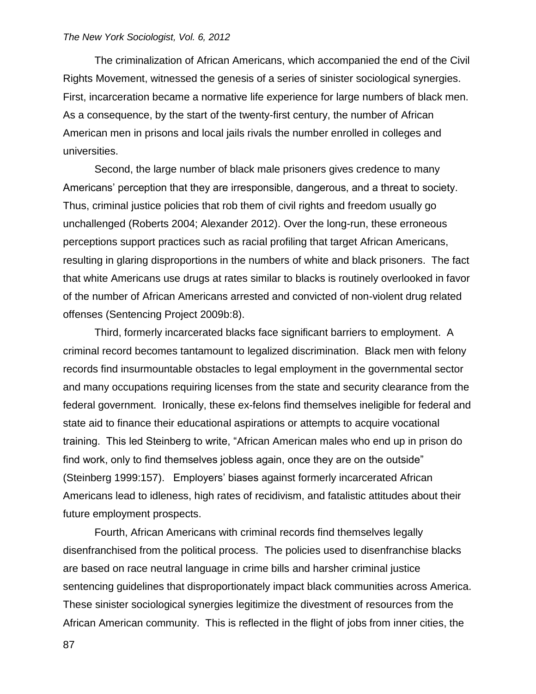The criminalization of African Americans, which accompanied the end of the Civil Rights Movement, witnessed the genesis of a series of sinister sociological synergies. First, incarceration became a normative life experience for large numbers of black men. As a consequence, by the start of the twenty-first century, the number of African American men in prisons and local jails rivals the number enrolled in colleges and universities.

Second, the large number of black male prisoners gives credence to many Americans' perception that they are irresponsible, dangerous, and a threat to society. Thus, criminal justice policies that rob them of civil rights and freedom usually go unchallenged (Roberts 2004; Alexander 2012). Over the long-run, these erroneous perceptions support practices such as racial profiling that target African Americans, resulting in glaring disproportions in the numbers of white and black prisoners. The fact that white Americans use drugs at rates similar to blacks is routinely overlooked in favor of the number of African Americans arrested and convicted of non-violent drug related offenses (Sentencing Project 2009b:8).

Third, formerly incarcerated blacks face significant barriers to employment. A criminal record becomes tantamount to legalized discrimination. Black men with felony records find insurmountable obstacles to legal employment in the governmental sector and many occupations requiring licenses from the state and security clearance from the federal government. Ironically, these ex-felons find themselves ineligible for federal and state aid to finance their educational aspirations or attempts to acquire vocational training. This led Steinberg to write, "African American males who end up in prison do find work, only to find themselves jobless again, once they are on the outside" (Steinberg 1999:157). Employers' biases against formerly incarcerated African Americans lead to idleness, high rates of recidivism, and fatalistic attitudes about their future employment prospects.

Fourth, African Americans with criminal records find themselves legally disenfranchised from the political process. The policies used to disenfranchise blacks are based on race neutral language in crime bills and harsher criminal justice sentencing guidelines that disproportionately impact black communities across America. These sinister sociological synergies legitimize the divestment of resources from the African American community. This is reflected in the flight of jobs from inner cities, the

87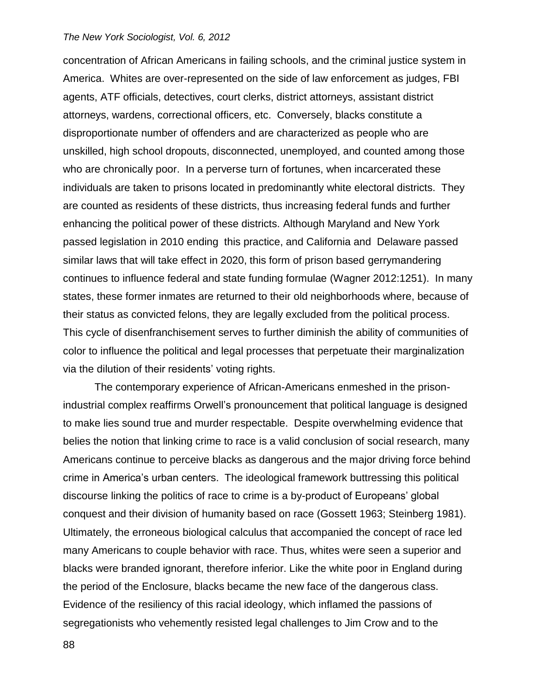concentration of African Americans in failing schools, and the criminal justice system in America. Whites are over-represented on the side of law enforcement as judges, FBI agents, ATF officials, detectives, court clerks, district attorneys, assistant district attorneys, wardens, correctional officers, etc. Conversely, blacks constitute a disproportionate number of offenders and are characterized as people who are unskilled, high school dropouts, disconnected, unemployed, and counted among those who are chronically poor. In a perverse turn of fortunes, when incarcerated these individuals are taken to prisons located in predominantly white electoral districts. They are counted as residents of these districts, thus increasing federal funds and further enhancing the political power of these districts. Although Maryland and New York passed legislation in 2010 ending this practice, and California and Delaware passed similar laws that will take effect in 2020, this form of prison based gerrymandering continues to influence federal and state funding formulae (Wagner 2012:1251). In many states, these former inmates are returned to their old neighborhoods where, because of their status as convicted felons, they are legally excluded from the political process. This cycle of disenfranchisement serves to further diminish the ability of communities of color to influence the political and legal processes that perpetuate their marginalization via the dilution of their residents' voting rights.

The contemporary experience of African-Americans enmeshed in the prisonindustrial complex reaffirms Orwell's pronouncement that political language is designed to make lies sound true and murder respectable. Despite overwhelming evidence that belies the notion that linking crime to race is a valid conclusion of social research, many Americans continue to perceive blacks as dangerous and the major driving force behind crime in America's urban centers. The ideological framework buttressing this political discourse linking the politics of race to crime is a by-product of Europeans' global conquest and their division of humanity based on race (Gossett 1963; Steinberg 1981). Ultimately, the erroneous biological calculus that accompanied the concept of race led many Americans to couple behavior with race. Thus, whites were seen a superior and blacks were branded ignorant, therefore inferior. Like the white poor in England during the period of the Enclosure, blacks became the new face of the dangerous class. Evidence of the resiliency of this racial ideology, which inflamed the passions of segregationists who vehemently resisted legal challenges to Jim Crow and to the

88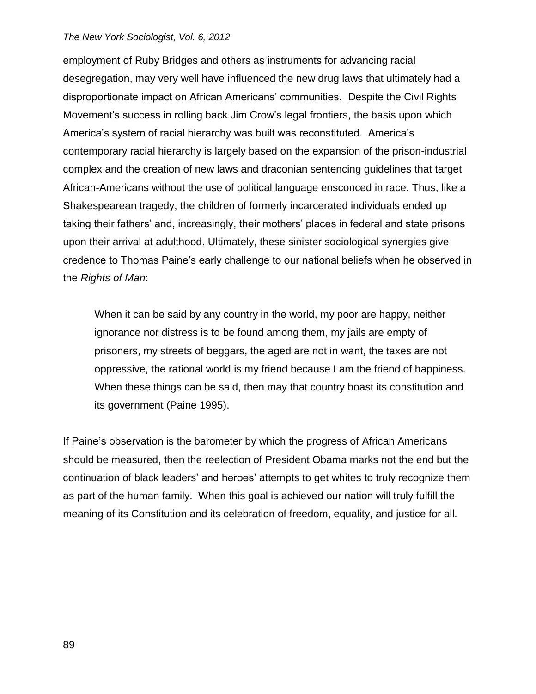employment of Ruby Bridges and others as instruments for advancing racial desegregation, may very well have influenced the new drug laws that ultimately had a disproportionate impact on African Americans' communities. Despite the Civil Rights Movement's success in rolling back Jim Crow's legal frontiers, the basis upon which America's system of racial hierarchy was built was reconstituted. America's contemporary racial hierarchy is largely based on the expansion of the prison-industrial complex and the creation of new laws and draconian sentencing guidelines that target African-Americans without the use of political language ensconced in race. Thus, like a Shakespearean tragedy, the children of formerly incarcerated individuals ended up taking their fathers' and, increasingly, their mothers' places in federal and state prisons upon their arrival at adulthood. Ultimately, these sinister sociological synergies give credence to Thomas Paine's early challenge to our national beliefs when he observed in the *Rights of Man*:

When it can be said by any country in the world, my poor are happy, neither ignorance nor distress is to be found among them, my jails are empty of prisoners, my streets of beggars, the aged are not in want, the taxes are not oppressive, the rational world is my friend because I am the friend of happiness. When these things can be said, then may that country boast its constitution and its government (Paine 1995).

If Paine's observation is the barometer by which the progress of African Americans should be measured, then the reelection of President Obama marks not the end but the continuation of black leaders' and heroes' attempts to get whites to truly recognize them as part of the human family. When this goal is achieved our nation will truly fulfill the meaning of its Constitution and its celebration of freedom, equality, and justice for all.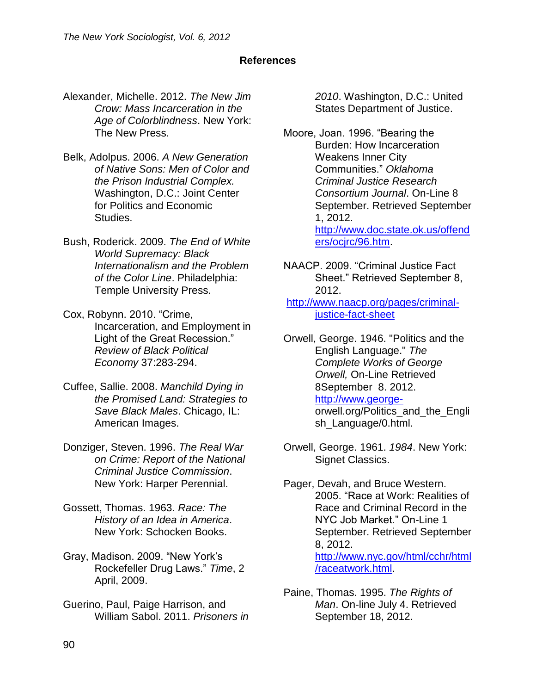# **References**

- Alexander, Michelle. 2012. *The New Jim Crow: Mass Incarceration in the Age of Colorblindness*. New York: The New Press.
- Belk, Adolpus. 2006. *A New Generation of Native Sons: Men of Color and the Prison Industrial Complex.* Washington, D.C.: Joint Center for Politics and Economic Studies.
- Bush, Roderick. 2009. *The End of White World Supremacy: Black Internationalism and the Problem of the Color Line*. Philadelphia: Temple University Press.
- Cox, Robynn. 2010. "Crime, Incarceration, and Employment in Light of the Great Recession." *Review of Black Political Economy* 37:283-294.
- Cuffee, Sallie. 2008. *Manchild Dying in the Promised Land: Strategies to Save Black Males*. Chicago, IL: American Images.
- Donziger, Steven. 1996. *The Real War on Crime: Report of the National Criminal Justice Commission*. New York: Harper Perennial.
- Gossett, Thomas. 1963. *Race: The History of an Idea in America*. New York: Schocken Books.
- Gray, Madison. 2009. "New York's Rockefeller Drug Laws." *Time*, 2 April, 2009.
- Guerino, Paul, Paige Harrison, and William Sabol. 2011. *Prisoners in*

*2010*. Washington, D.C.: United States Department of Justice.

Moore, Joan. 1996. "Bearing the Burden: How Incarceration Weakens Inner City Communities." *Oklahoma Criminal Justice Research Consortium Journal*. On-Line 8 September. Retrieved September 1, 2012. [http://www.doc.state.ok.us/offend](http://www.doc.state.ok.us/offenders/ocjrc/96.htm) [ers/ocjrc/96.htm.](http://www.doc.state.ok.us/offenders/ocjrc/96.htm)

- NAACP. 2009. "Criminal Justice Fact Sheet." Retrieved September 8, 2012.
- [http://www.naacp.org/pages/criminal](http://www.naacp.org/pages/criminal-justice-fact-sheet)[justice-fact-sheet](http://www.naacp.org/pages/criminal-justice-fact-sheet)
- Orwell, George. 1946. "Politics and the English Language." *The Complete Works of George Orwell,* On-Line Retrieved 8September 8. 2012. [http://www.george](http://www.george-/)orwell.org/Politics\_and\_the\_Engli sh\_Language/0.html.
- Orwell, George. 1961. *1984*. New York: Signet Classics.
- Pager, Devah, and Bruce Western. 2005. "Race at Work: Realities of Race and Criminal Record in the NYC Job Market." On-Line 1 September. Retrieved September 8, 2012. [http://www.nyc.gov/html/cchr/html](http://www.nyc.gov/html/cchr/html/raceatwork.html) [/raceatwork.html.](http://www.nyc.gov/html/cchr/html/raceatwork.html)
- Paine, Thomas. 1995. *The Rights of Man*. On-line July 4. Retrieved September 18, 2012.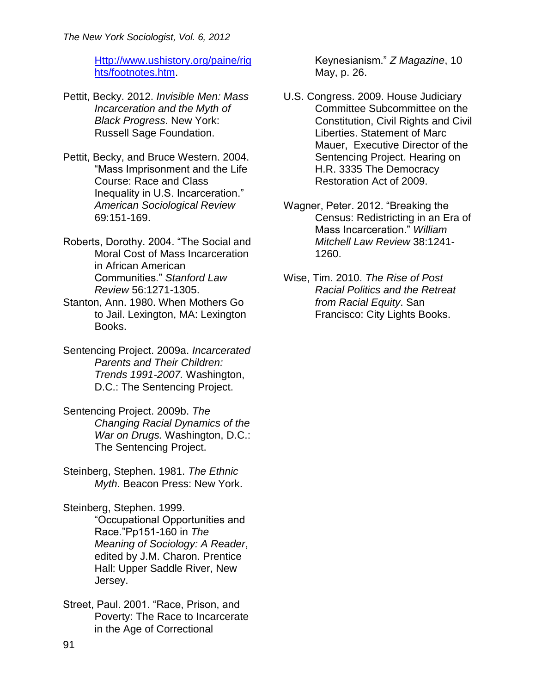[Http://www.ushistory.org/paine/rig](http://www.ushistory.org/paine/rights/footnotes.htm) [hts/footnotes.htm.](http://www.ushistory.org/paine/rights/footnotes.htm)

- Pettit, Becky. 2012. *Invisible Men: Mass Incarceration and the Myth of Black Progress*. New York: Russell Sage Foundation.
- Pettit, Becky, and Bruce Western. 2004. "Mass Imprisonment and the Life Course: Race and Class Inequality in U.S. Incarceration." *American Sociological Review* 69:151-169.
- Roberts, Dorothy. 2004. "The Social and Moral Cost of Mass Incarceration in African American Communities." *Stanford Law Review* 56:1271-1305.
- Stanton, Ann. 1980. When Mothers Go to Jail. Lexington, MA: Lexington Books.
- Sentencing Project. 2009a. *Incarcerated Parents and Their Children: Trends 1991-2007.* Washington, D.C.: The Sentencing Project.
- Sentencing Project. 2009b. *The Changing Racial Dynamics of the War on Drugs.* Washington, D.C.: The Sentencing Project.
- Steinberg, Stephen. 1981. *The Ethnic Myth*. Beacon Press: New York.

Steinberg, Stephen. 1999. "Occupational Opportunities and Race."Pp151-160 in *The Meaning of Sociology: A Reader*, edited by J.M. Charon. Prentice Hall: Upper Saddle River, New Jersey.

Street, Paul. 2001. "Race, Prison, and Poverty: The Race to Incarcerate in the Age of Correctional

Keynesianism." *Z Magazine*, 10 May, p. 26.

- U.S. Congress. 2009. House Judiciary Committee Subcommittee on the Constitution, Civil Rights and Civil Liberties. Statement of Marc Mauer, Executive Director of the Sentencing Project. Hearing on H.R. 3335 The Democracy Restoration Act of 2009.
- Wagner, Peter. 2012. "Breaking the Census: Redistricting in an Era of Mass Incarceration." *William Mitchell Law Review* 38:1241- 1260.
- Wise, Tim. 2010. *The Rise of Post Racial Politics and the Retreat from Racial Equity*. San Francisco: City Lights Books.